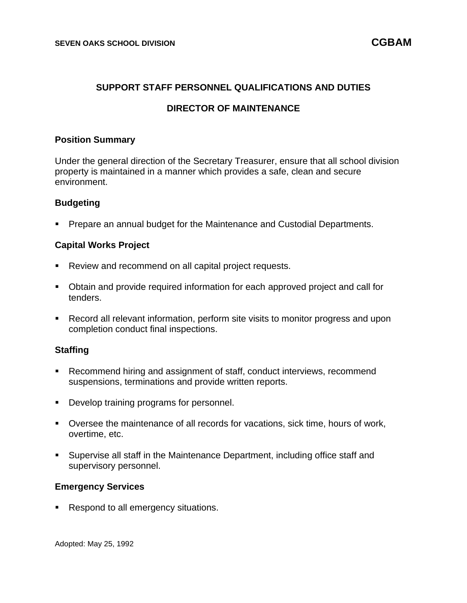### **SUPPORT STAFF PERSONNEL QUALIFICATIONS AND DUTIES**

# **DIRECTOR OF MAINTENANCE**

#### **Position Summary**

Under the general direction of the Secretary Treasurer, ensure that all school division property is maintained in a manner which provides a safe, clean and secure environment.

## **Budgeting**

**• Prepare an annual budget for the Maintenance and Custodial Departments.** 

#### **Capital Works Project**

- Review and recommend on all capital project requests.
- Obtain and provide required information for each approved project and call for tenders.
- Record all relevant information, perform site visits to monitor progress and upon completion conduct final inspections.

## **Staffing**

- Recommend hiring and assignment of staff, conduct interviews, recommend suspensions, terminations and provide written reports.
- Develop training programs for personnel.
- Oversee the maintenance of all records for vacations, sick time, hours of work, overtime, etc.
- Supervise all staff in the Maintenance Department, including office staff and supervisory personnel.

#### **Emergency Services**

■ Respond to all emergency situations.

Adopted: May 25, 1992